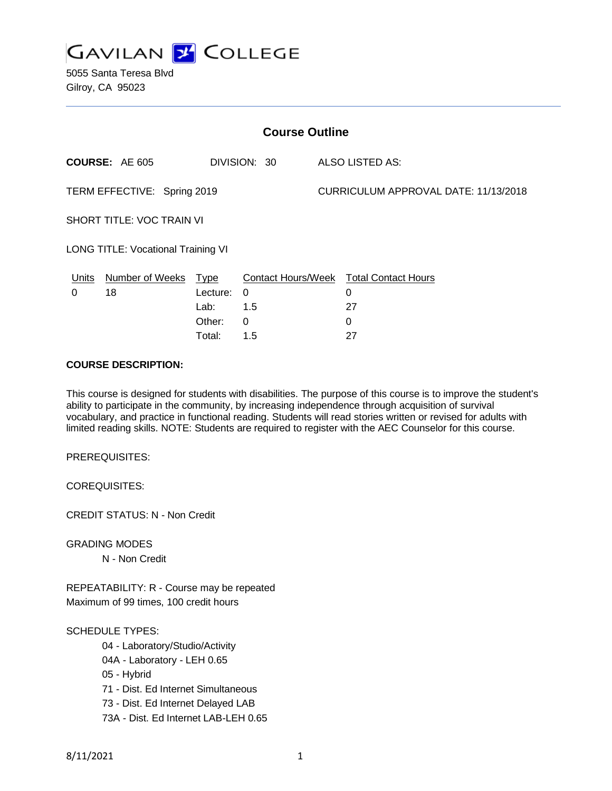

5055 Santa Teresa Blvd Gilroy, CA 95023

| <b>Course Outline</b>              |                       |          |              |                                      |                                        |
|------------------------------------|-----------------------|----------|--------------|--------------------------------------|----------------------------------------|
|                                    | <b>COURSE: AE 605</b> |          | DIVISION: 30 |                                      | ALSO LISTED AS:                        |
| TERM EFFECTIVE: Spring 2019        |                       |          |              | CURRICULUM APPROVAL DATE: 11/13/2018 |                                        |
| SHORT TITLE: VOC TRAIN VI          |                       |          |              |                                      |                                        |
| LONG TITLE: Vocational Training VI |                       |          |              |                                      |                                        |
| Units                              | Number of Weeks Type  |          |              |                                      | Contact Hours/Week Total Contact Hours |
| 0                                  | 18                    | Lecture: | 0            |                                      | 0                                      |
|                                    |                       | Lab:     | 1.5          |                                      | 27                                     |
|                                    |                       | Other:   | $\Omega$     |                                      | 0                                      |
|                                    |                       | Total:   | 1.5          |                                      | 27                                     |

### **COURSE DESCRIPTION:**

This course is designed for students with disabilities. The purpose of this course is to improve the student's ability to participate in the community, by increasing independence through acquisition of survival vocabulary, and practice in functional reading. Students will read stories written or revised for adults with limited reading skills. NOTE: Students are required to register with the AEC Counselor for this course.

PREREQUISITES:

COREQUISITES:

CREDIT STATUS: N - Non Credit

GRADING MODES

N - Non Credit

REPEATABILITY: R - Course may be repeated Maximum of 99 times, 100 credit hours

#### SCHEDULE TYPES:

- 04 Laboratory/Studio/Activity
- 04A Laboratory LEH 0.65
- 05 Hybrid
- 71 Dist. Ed Internet Simultaneous
- 73 Dist. Ed Internet Delayed LAB
- 73A Dist. Ed Internet LAB-LEH 0.65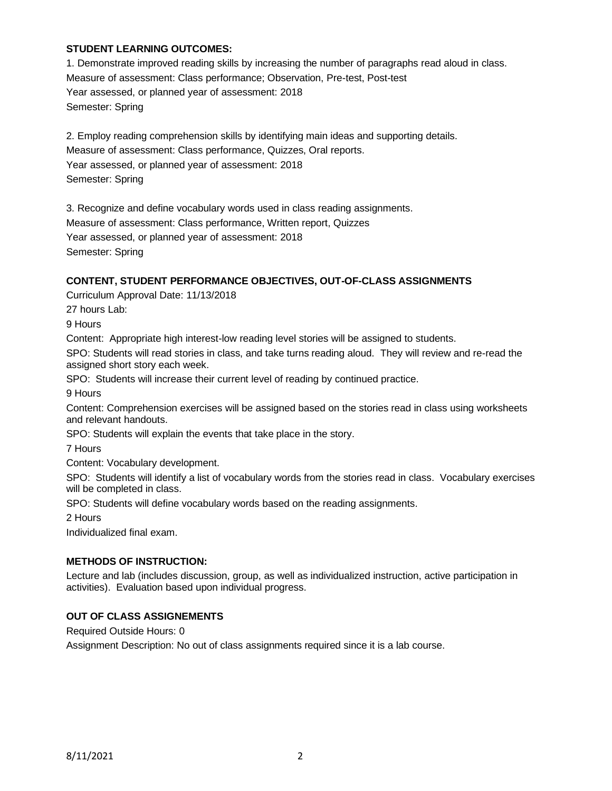## **STUDENT LEARNING OUTCOMES:**

1. Demonstrate improved reading skills by increasing the number of paragraphs read aloud in class. Measure of assessment: Class performance; Observation, Pre-test, Post-test Year assessed, or planned year of assessment: 2018 Semester: Spring

2. Employ reading comprehension skills by identifying main ideas and supporting details. Measure of assessment: Class performance, Quizzes, Oral reports. Year assessed, or planned year of assessment: 2018 Semester: Spring

3. Recognize and define vocabulary words used in class reading assignments. Measure of assessment: Class performance, Written report, Quizzes Year assessed, or planned year of assessment: 2018 Semester: Spring

# **CONTENT, STUDENT PERFORMANCE OBJECTIVES, OUT-OF-CLASS ASSIGNMENTS**

Curriculum Approval Date: 11/13/2018

27 hours Lab:

9 Hours

Content: Appropriate high interest-low reading level stories will be assigned to students.

SPO: Students will read stories in class, and take turns reading aloud. They will review and re-read the assigned short story each week.

SPO: Students will increase their current level of reading by continued practice.

9 Hours

Content: Comprehension exercises will be assigned based on the stories read in class using worksheets and relevant handouts.

SPO: Students will explain the events that take place in the story.

7 Hours

Content: Vocabulary development.

SPO: Students will identify a list of vocabulary words from the stories read in class. Vocabulary exercises will be completed in class.

SPO: Students will define vocabulary words based on the reading assignments.

2 Hours

Individualized final exam.

## **METHODS OF INSTRUCTION:**

Lecture and lab (includes discussion, group, as well as individualized instruction, active participation in activities). Evaluation based upon individual progress.

## **OUT OF CLASS ASSIGNEMENTS**

Required Outside Hours: 0

Assignment Description: No out of class assignments required since it is a lab course.